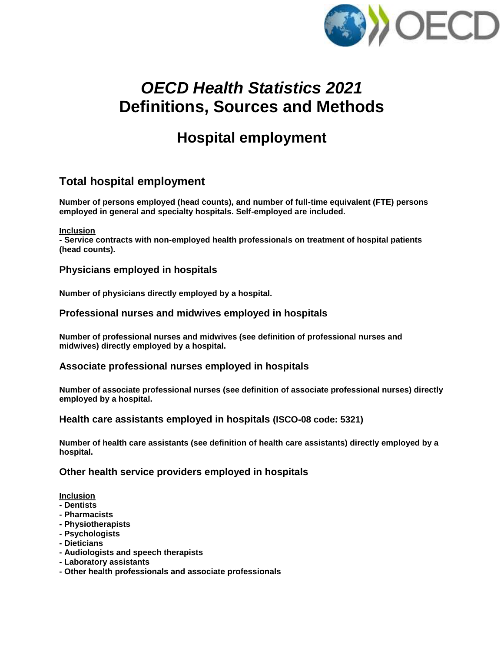

# *OECD Health Statistics 2021* **Definitions, Sources and Methods**

# **Hospital employment**

# **Total hospital employment**

**Number of persons employed (head counts), and number of full-time equivalent (FTE) persons employed in general and specialty hospitals. Self-employed are included.**

**Inclusion**

**- Service contracts with non-employed health professionals on treatment of hospital patients (head counts).**

# **Physicians employed in hospitals**

**Number of physicians directly employed by a hospital.**

# **Professional nurses and midwives employed in hospitals**

**Number of professional nurses and midwives (see definition of professional nurses and midwives) directly employed by a hospital.**

# **Associate professional nurses employed in hospitals**

**Number of associate professional nurses (see definition of associate professional nurses) directly employed by a hospital.**

# **Health care assistants employed in hospitals (ISCO-08 code: 5321)**

**Number of health care assistants (see definition of health care assistants) directly employed by a hospital.**

# **Other health service providers employed in hospitals**

# **Inclusion**

- **- Dentists**
- **- Pharmacists**
- **- Physiotherapists**
- **- Psychologists**
- **- Dieticians**
- **- Audiologists and speech therapists**
- **- Laboratory assistants**
- **- Other health professionals and associate professionals**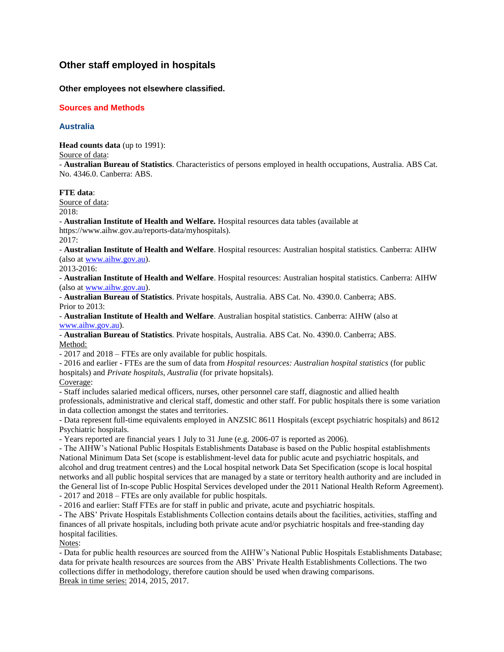# **Other staff employed in hospitals**

## **Other employees not elsewhere classified.**

## **Sources and Methods**

## **Australia**

**Head counts data** (up to 1991):

Source of data:

- **Australian Bureau of Statistics**. Characteristics of persons employed in health occupations, Australia. ABS Cat. No. 4346.0. Canberra: ABS.

## **FTE data**:

Source of data: 2018:

- **Australian Institute of Health and Welfare.** Hospital resources data tables (available at https://www.aihw.gov.au/reports-data/myhospitals).

2017:

- **Australian Institute of Health and Welfare**. Hospital resources: Australian hospital statistics. Canberra: AIHW (also a[t www.aihw.gov.au\)](http://www.aihw.gov.au/).

2013-2016:

- **Australian Institute of Health and Welfare**. Hospital resources: Australian hospital statistics. Canberra: AIHW (also a[t www.aihw.gov.au\)](http://www.aihw.gov.au/).

- **Australian Bureau of Statistics**. Private hospitals, Australia. ABS Cat. No. 4390.0. Canberra; ABS. Prior to 2013:

- **Australian Institute of Health and Welfare**. Australian hospital statistics. Canberra: AIHW (also at [www.aihw.gov.au\)](file:///C:/Users/barnettm/AppData/Local/Microsoft/Windows/Temporary%20Internet%20Files/Content.Outlook/2L3EJXSO/.ptmp18063/www.aihw.gov.au).

- **Australian Bureau of Statistics**. Private hospitals, Australia. ABS Cat. No. 4390.0. Canberra; ABS. Method:

- 2017 and 2018 – FTEs are only available for public hospitals.

- 2016 and earlier - FTEs are the sum of data from *Hospital resources: Australian hospital statistics* (for public hospitals) and *Private hospitals, Australia* (for private hopsitals).

Coverage:

- Staff includes salaried medical officers, nurses, other personnel care staff, diagnostic and allied health professionals, administrative and clerical staff, domestic and other staff. For public hospitals there is some variation in data collection amongst the states and territories.

- Data represent full-time equivalents employed in ANZSIC 8611 Hospitals (except psychiatric hospitals) and 8612 Psychiatric hospitals.

- Years reported are financial years 1 July to 31 June (e.g. 2006-07 is reported as 2006).

- The AIHW's National Public Hospitals Establishments Database is based on the Public hospital establishments National Minimum Data Set (scope is establishment-level data for public acute and psychiatric hospitals, and alcohol and drug treatment centres) and the Local hospital network Data Set Specification (scope is local hospital networks and all public hospital services that are managed by a state or territory health authority and are included in the General list of In-scope Public Hospital Services developed under the 2011 National Health Reform Agreement).

- 2017 and 2018 – FTEs are only available for public hospitals.

- 2016 and earlier: Staff FTEs are for staff in public and private, acute and psychiatric hospitals.

- The ABS' Private Hospitals Establishments Collection contains details about the facilities, activities, staffing and finances of all private hospitals, including both private acute and/or psychiatric hospitals and free-standing day hospital facilities.

Notes:

- Data for public health resources are sourced from the AIHW's National Public Hospitals Establishments Database; data for private health resources are sources from the ABS' Private Health Establishments Collections. The two collections differ in methodology, therefore caution should be used when drawing comparisons. Break in time series: 2014, 2015, 2017.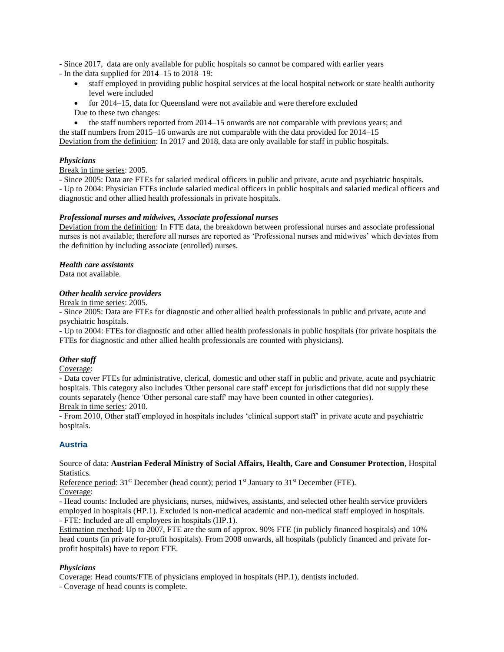- Since 2017, data are only available for public hospitals so cannot be compared with earlier years

- In the data supplied for 2014–15 to 2018–19:

- staff employed in providing public hospital services at the local hospital network or state health authority level were included
- for 2014–15, data for Queensland were not available and were therefore excluded Due to these two changes:

 the staff numbers reported from 2014–15 onwards are not comparable with previous years; and the staff numbers from 2015–16 onwards are not comparable with the data provided for 2014–15

Deviation from the definition: In 2017 and 2018, data are only available for staff in public hospitals.

## *Physicians*

Break in time series: 2005.

- Since 2005: Data are FTEs for salaried medical officers in public and private, acute and psychiatric hospitals. - Up to 2004: Physician FTEs include salaried medical officers in public hospitals and salaried medical officers and diagnostic and other allied health professionals in private hospitals.

## *Professional nurses and midwives, Associate professional nurses*

Deviation from the definition: In FTE data, the breakdown between professional nurses and associate professional nurses is not available; therefore all nurses are reported as 'Professional nurses and midwives' which deviates from the definition by including associate (enrolled) nurses.

## *Health care assistants*

Data not available.

## *Other health service providers*

Break in time series: 2005.

- Since 2005: Data are FTEs for diagnostic and other allied health professionals in public and private, acute and psychiatric hospitals.

- Up to 2004: FTEs for diagnostic and other allied health professionals in public hospitals (for private hospitals the FTEs for diagnostic and other allied health professionals are counted with physicians).

## *Other staff*

Coverage:

- Data cover FTEs for administrative, clerical, domestic and other staff in public and private, acute and psychiatric hospitals. This category also includes 'Other personal care staff' except for jurisdictions that did not supply these counts separately (hence 'Other personal care staff' may have been counted in other categories). Break in time series: 2010.

- From 2010, Other staff employed in hospitals includes 'clinical support staff' in private acute and psychiatric hospitals.

## **Austria**

## Source of data: **Austrian Federal Ministry of Social Affairs, Health, Care and Consumer Protection**, Hospital Statistics.

Reference period:  $31<sup>st</sup>$  December (head count); period  $1<sup>st</sup>$  January to  $31<sup>st</sup>$  December (FTE). Coverage:

- Head counts: Included are physicians, nurses, midwives, assistants, and selected other health service providers employed in hospitals (HP.1). Excluded is non-medical academic and non-medical staff employed in hospitals.

- FTE: Included are all employees in hospitals (HP.1).

Estimation method: Up to 2007, FTE are the sum of approx. 90% FTE (in publicly financed hospitals) and 10% head counts (in private for-profit hospitals). From 2008 onwards, all hospitals (publicly financed and private forprofit hospitals) have to report FTE.

## *Physicians*

Coverage: Head counts/FTE of physicians employed in hospitals (HP.1), dentists included.

- Coverage of head counts is complete.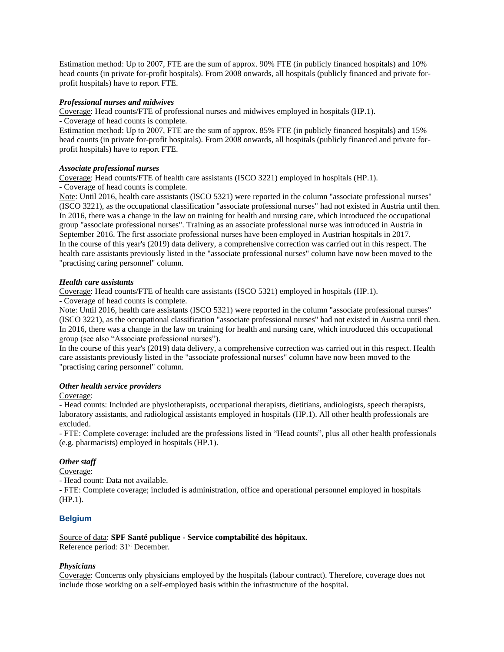Estimation method: Up to 2007, FTE are the sum of approx. 90% FTE (in publicly financed hospitals) and 10% head counts (in private for-profit hospitals). From 2008 onwards, all hospitals (publicly financed and private forprofit hospitals) have to report FTE.

## *Professional nurses and midwives*

Coverage: Head counts/FTE of professional nurses and midwives employed in hospitals (HP.1).

- Coverage of head counts is complete.

Estimation method: Up to 2007, FTE are the sum of approx. 85% FTE (in publicly financed hospitals) and 15% head counts (in private for-profit hospitals). From 2008 onwards, all hospitals (publicly financed and private forprofit hospitals) have to report FTE.

## *Associate professional nurses*

Coverage: Head counts/FTE of health care assistants (ISCO 3221) employed in hospitals (HP.1).

- Coverage of head counts is complete.

Note: Until 2016, health care assistants (ISCO 5321) were reported in the column "associate professional nurses" (ISCO 3221), as the occupational classification "associate professional nurses" had not existed in Austria until then. In 2016, there was a change in the law on training for health and nursing care, which introduced the occupational group "associate professional nurses". Training as an associate professional nurse was introduced in Austria in September 2016. The first associate professional nurses have been employed in Austrian hospitals in 2017. In the course of this year's (2019) data delivery, a comprehensive correction was carried out in this respect. The health care assistants previously listed in the "associate professional nurses" column have now been moved to the "practising caring personnel" column.

## *Health care assistants*

Coverage: Head counts/FTE of health care assistants (ISCO 5321) employed in hospitals (HP.1).

- Coverage of head counts is complete.

Note: Until 2016, health care assistants (ISCO 5321) were reported in the column "associate professional nurses" (ISCO 3221), as the occupational classification "associate professional nurses" had not existed in Austria until then. In 2016, there was a change in the law on training for health and nursing care, which introduced this occupational group (see also "Associate professional nurses").

In the course of this year's (2019) data delivery, a comprehensive correction was carried out in this respect. Health care assistants previously listed in the "associate professional nurses" column have now been moved to the "practising caring personnel" column.

## *Other health service providers*

Coverage:

- Head counts: Included are physiotherapists, occupational therapists, dietitians, audiologists, speech therapists, laboratory assistants, and radiological assistants employed in hospitals (HP.1). All other health professionals are excluded.

- FTE: Complete coverage; included are the professions listed in "Head counts", plus all other health professionals (e.g. pharmacists) employed in hospitals (HP.1).

## *Other staff*

Coverage:

- Head count: Data not available.

- FTE: Complete coverage; included is administration, office and operational personnel employed in hospitals (HP.1).

## **Belgium**

#### Source of data: **SPF Santé publique - Service comptabilité des hôpitaux**. Reference period: 31<sup>st</sup> December.

## *Physicians*

Coverage: Concerns only physicians employed by the hospitals (labour contract). Therefore, coverage does not include those working on a self-employed basis within the infrastructure of the hospital.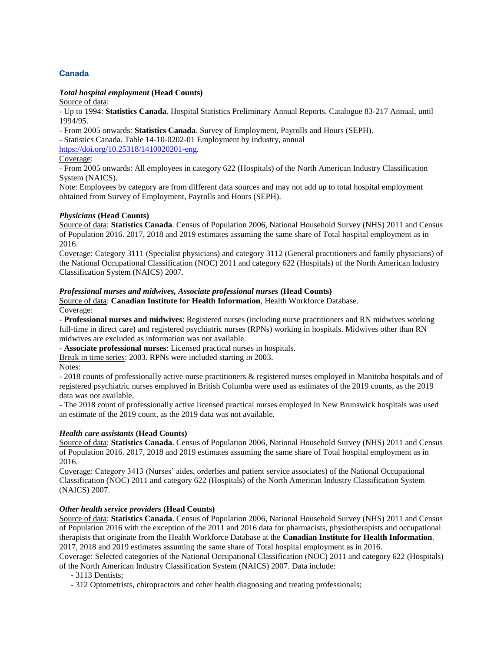# **Canada**

## *Total hospital employment* **(Head Counts)**

Source of data:

- Up to 1994: **Statistics Canada**. Hospital Statistics Preliminary Annual Reports. Catalogue 83-217 Annual, until 1994/95.

- From 2005 onwards: **Statistics Canada**. Survey of Employment, Payrolls and Hours (SEPH).

- Statistics Canada. Table 14-10-0202-01 Employment by industry, annual

[https://doi.org/10.25318/1410020201-eng.](https://doi.org/10.25318/1410020201-eng)

Coverage:

- From 2005 onwards: All employees in category 622 (Hospitals) of the North American Industry Classification System (NAICS).

Note: Employees by category are from different data sources and may not add up to total hospital employment obtained from Survey of Employment, Payrolls and Hours (SEPH).

#### *Physicians* **(Head Counts)**

Source of data: **Statistics Canada**. Census of Population 2006, National Household Survey (NHS) 2011 and Census of Population 2016. 2017, 2018 and 2019 estimates assuming the same share of Total hospital employment as in 2016.

Coverage: Category 3111 (Specialist physicians) and category 3112 (General practitioners and family physicians) of the National Occupational Classification (NOC) 2011 and category 622 (Hospitals) of the North American Industry Classification System (NAICS) 2007.

#### *Professional nurses and midwives, Associate professional nurses* **(Head Counts)**

Source of data: **Canadian Institute for Health Information**, Health Workforce Database. Coverage:

- **Professional nurses and midwives**: Registered nurses (including nurse practitioners and RN midwives working full-time in direct care) and registered psychiatric nurses (RPNs) working in hospitals. Midwives other than RN midwives are excluded as information was not available.

- **Associate professional nurses**: Licensed practical nurses in hospitals.

Break in time series: 2003. RPNs were included starting in 2003.

Notes:

- 2018 counts of professionally active nurse practitioners & registered nurses employed in Manitoba hospitals and of registered psychiatric nurses employed in British Columba were used as estimates of the 2019 counts, as the 2019 data was not available.

- The 2018 count of professionally active licensed practical nurses employed in New Brunswick hospitals was used an estimate of the 2019 count, as the 2019 data was not available.

#### *Health care assistants* **(Head Counts)**

Source of data: **Statistics Canada**. Census of Population 2006, National Household Survey (NHS) 2011 and Census of Population 2016. 2017, 2018 and 2019 estimates assuming the same share of Total hospital employment as in 2016.

Coverage: Category 3413 (Nurses' aides, orderlies and patient service associates) of the National Occupational Classification (NOC) 2011 and category 622 (Hospitals) of the North American Industry Classification System (NAICS) 2007.

## *Other health service providers* **(Head Counts)**

Source of data: **Statistics Canada**. Census of Population 2006, National Household Survey (NHS) 2011 and Census of Population 2016 with the exception of the 2011 and 2016 data for pharmacists, physiotherapists and occupational therapists that originate from the Health Workforce Database at the **Canadian Institute for Health Information**. 2017, 2018 and 2019 estimates assuming the same share of Total hospital employment as in 2016.

Coverage: Selected categories of the National Occupational Classification (NOC) 2011 and category 622 (Hospitals) of the North American Industry Classification System (NAICS) 2007. Data include:

- 3113 Dentists;

- 312 Optometrists, chiropractors and other health diagnosing and treating professionals;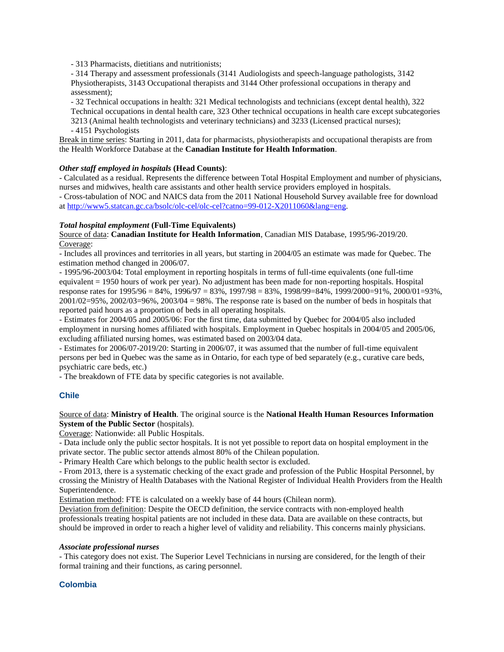- 313 Pharmacists, dietitians and nutritionists;

- 314 Therapy and assessment professionals (3141 Audiologists and speech-language pathologists, 3142 Physiotherapists, 3143 Occupational therapists and 3144 Other professional occupations in therapy and assessment);

- 32 Technical occupations in health: 321 Medical technologists and technicians (except dental health), 322

Technical occupations in dental health care, 323 Other technical occupations in health care except subcategories 3213 (Animal health technologists and veterinary technicians) and 3233 (Licensed practical nurses);

- 4151 Psychologists

Break in time series: Starting in 2011, data for pharmacists, physiotherapists and occupational therapists are from the Health Workforce Database at the **Canadian Institute for Health Information**.

## *Other staff employed in hospitals* **(Head Counts)**:

- Calculated as a residual. Represents the difference between Total Hospital Employment and number of physicians, nurses and midwives, health care assistants and other health service providers employed in hospitals.

- Cross-tabulation of NOC and NAICS data from the 2011 National Household Survey available free for download a[t http://www5.statcan.gc.ca/bsolc/olc-cel/olc-cel?catno=99-012-X2011060&lang=eng.](http://www5.statcan.gc.ca/bsolc/olc-cel/olc-cel?catno=99-012-X2011060&lang=eng)

## *Total hospital employment* **(Full-Time Equivalents)**

Source of data: **Canadian Institute for Health Information**, Canadian MIS Database, 1995/96-2019/20. Coverage:

- Includes all provinces and territories in all years, but starting in 2004/05 an estimate was made for Quebec. The estimation method changed in 2006/07.

- 1995/96-2003/04: Total employment in reporting hospitals in terms of full-time equivalents (one full-time equivalent = 1950 hours of work per year). No adjustment has been made for non-reporting hospitals. Hospital response rates for  $1995/96 = 84\%$ ,  $1996/97 = 83\%$ ,  $1997/98 = 83\%$ ,  $1998/99 = 84\%$ ,  $1999/2000 = 91\%$ ,  $2000/01 = 93\%$ ,  $2001/02=95\%$ ,  $2002/03=96\%$ ,  $2003/04=98\%$ . The response rate is based on the number of beds in hospitals that reported paid hours as a proportion of beds in all operating hospitals.

- Estimates for 2004/05 and 2005/06: For the first time, data submitted by Quebec for 2004/05 also included employment in nursing homes affiliated with hospitals. Employment in Quebec hospitals in 2004/05 and 2005/06, excluding affiliated nursing homes, was estimated based on 2003/04 data.

- Estimates for 2006/07-2019/20: Starting in 2006/07, it was assumed that the number of full-time equivalent persons per bed in Quebec was the same as in Ontario, for each type of bed separately (e.g., curative care beds, psychiatric care beds, etc.)

- The breakdown of FTE data by specific categories is not available.

# **Chile**

Source of data: **Ministry of Health**. The original source is the **National Health Human Resources Information System of the Public Sector** (hospitals).

Coverage: Nationwide: all Public Hospitals.

- Data include only the public sector hospitals. It is not yet possible to report data on hospital employment in the private sector. The public sector attends almost 80% of the Chilean population.

- Primary Health Care which belongs to the public health sector is excluded.

- From 2013, there is a systematic checking of the exact grade and profession of the Public Hospital Personnel, by crossing the Ministry of Health Databases with the National Register of Individual Health Providers from the Health Superintendence.

Estimation method: FTE is calculated on a weekly base of 44 hours (Chilean norm).

Deviation from definition: Despite the OECD definition, the service contracts with non-employed health professionals treating hospital patients are not included in these data. Data are available on these contracts, but should be improved in order to reach a higher level of validity and reliability. This concerns mainly physicians.

#### *Associate professional nurses*

- This category does not exist. The Superior Level Technicians in nursing are considered, for the length of their formal training and their functions, as caring personnel.

# **Colombia**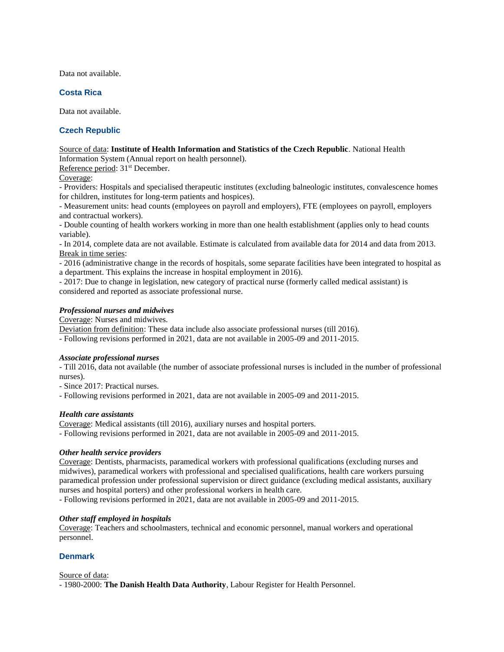Data not available.

## **Costa Rica**

Data not available.

## **Czech Republic**

# Source of data: **Institute of Health Information and Statistics of the Czech Republic**. National Health

Information System (Annual report on health personnel).

Reference period: 31<sup>st</sup> December.

Coverage:

- Providers: Hospitals and specialised therapeutic institutes (excluding balneologic institutes, convalescence homes for children, institutes for long-term patients and hospices).

- Measurement units: head counts (employees on payroll and employers), FTE (employees on payroll, employers and contractual workers).

- Double counting of health workers working in more than one health establishment (applies only to head counts variable).

- In 2014, complete data are not available. Estimate is calculated from available data for 2014 and data from 2013. Break in time series:

- 2016 (administrative change in the records of hospitals, some separate facilities have been integrated to hospital as a department. This explains the increase in hospital employment in 2016).

- 2017: Due to change in legislation, new category of practical nurse (formerly called medical assistant) is considered and reported as associate professional nurse.

## *Professional nurses and midwives*

Coverage: Nurses and midwives.

Deviation from definition: These data include also associate professional nurses (till 2016).

- Following revisions performed in 2021, data are not available in 2005-09 and 2011-2015.

## *Associate professional nurses*

- Till 2016, data not available (the number of associate professional nurses is included in the number of professional nurses).

- Since 2017: Practical nurses.

- Following revisions performed in 2021, data are not available in 2005-09 and 2011-2015.

## *Health care assistants*

Coverage: Medical assistants (till 2016), auxiliary nurses and hospital porters.

- Following revisions performed in 2021, data are not available in 2005-09 and 2011-2015.

## *Other health service providers*

Coverage: Dentists, pharmacists, paramedical workers with professional qualifications (excluding nurses and midwives), paramedical workers with professional and specialised qualifications, health care workers pursuing paramedical profession under professional supervision or direct guidance (excluding medical assistants, auxiliary nurses and hospital porters) and other professional workers in health care.

- Following revisions performed in 2021, data are not available in 2005-09 and 2011-2015.

## *Other staff employed in hospitals*

Coverage: Teachers and schoolmasters, technical and economic personnel, manual workers and operational personnel.

## **Denmark**

Source of data:

- 1980-2000: **The Danish Health Data Authority**, Labour Register for Health Personnel.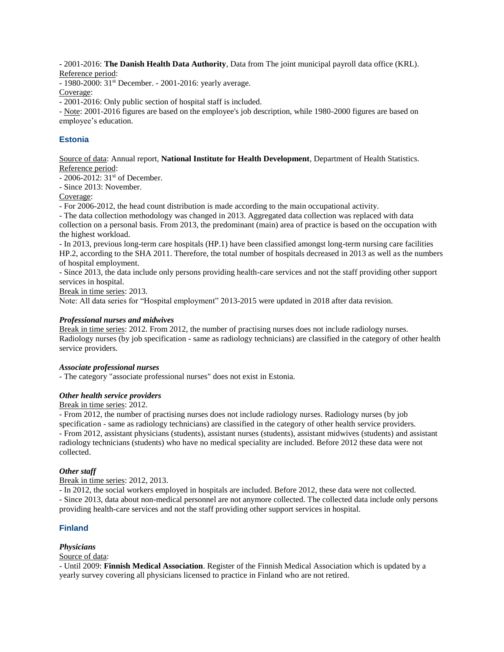- 2001-2016: **The Danish Health Data Authority**, Data from The joint municipal payroll data office (KRL). Reference period:

- 1980-2000: 31st December. - 2001-2016: yearly average.

Coverage:

- 2001-2016: Only public section of hospital staff is included.

- Note: 2001-2016 figures are based on the employee's job description, while 1980-2000 figures are based on employee's education.

# **Estonia**

Source of data: Annual report, **National Institute for Health Development**, Department of Health Statistics. Reference period:

- 2006-2012: 31<sup>st</sup> of December.

- Since 2013: November.

Coverage:

- For 2006-2012, the head count distribution is made according to the main occupational activity.

- The data collection methodology was changed in 2013. Aggregated data collection was replaced with data collection on a personal basis. From 2013, the predominant (main) area of practice is based on the occupation with the highest workload.

- In 2013, previous long-term care hospitals (HP.1) have been classified amongst long-term nursing care facilities HP.2, according to the SHA 2011. Therefore, the total number of hospitals decreased in 2013 as well as the numbers of hospital employment.

- Since 2013, the data include only persons providing health-care services and not the staff providing other support services in hospital.

Break in time series: 2013.

Note: All data series for "Hospital employment" 2013-2015 were updated in 2018 after data revision.

## *Professional nurses and midwives*

Break in time series: 2012. From 2012, the number of practising nurses does not include radiology nurses. Radiology nurses (by job specification - same as radiology technicians) are classified in the category of other health service providers.

## *Associate professional nurses*

- The category "associate professional nurses" does not exist in Estonia.

## *Other health service providers*

## Break in time series: 2012.

- From 2012, the number of practising nurses does not include radiology nurses. Radiology nurses (by job specification - same as radiology technicians) are classified in the category of other health service providers. - From 2012, assistant physicians (students), assistant nurses (students), assistant midwives (students) and assistant radiology technicians (students) who have no medical speciality are included. Before 2012 these data were not collected.

## *Other staff*

Break in time series: 2012, 2013.

- In 2012, the social workers employed in hospitals are included. Before 2012, these data were not collected. - Since 2013, data about non-medical personnel are not anymore collected. The collected data include only persons providing health-care services and not the staff providing other support services in hospital.

# **Finland**

# *Physicians*

## Source of data:

- Until 2009: **Finnish Medical Association**. Register of the Finnish Medical Association which is updated by a yearly survey covering all physicians licensed to practice in Finland who are not retired.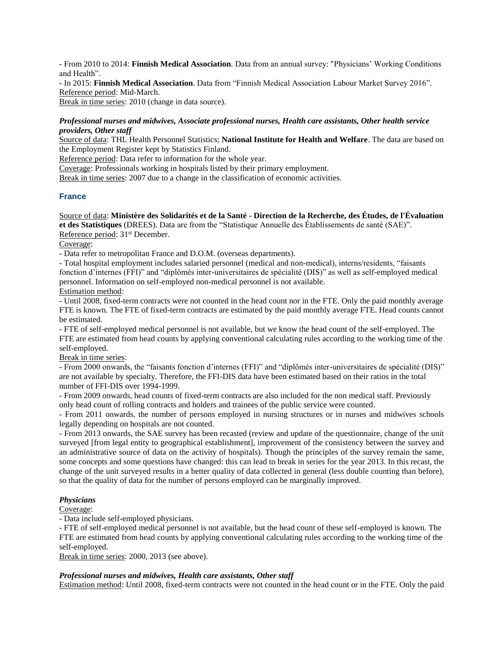- From 2010 to 2014: **Finnish Medical Association**. Data from an annual survey: "Physicians' Working Conditions and Health".

- In 2015: **Finnish Medical Association**. Data from "Finnish Medical Association Labour Market Survey 2016". Reference period: Mid-March.

Break in time series: 2010 (change in data source).

## *Professional nurses and midwives, Associate professional nurses, Health care assistants, Other health service providers, Other staff*

Source of data: THL Health Personnel Statistics; **National Institute for Health and Welfare**. The data are based on the Employment Register kept by Statistics Finland.

Reference period: Data refer to information for the whole year.

Coverage: Professionals working in hospitals listed by their primary employment.

Break in time series: 2007 due to a change in the classification of economic activities.

## **France**

Source of data: **Ministère des Solidarités et de la Santé - Direction de la Recherche, des Études, de l'Évaluation et des Statistiques** (DREES). Data are from the "Statistique Annuelle des Établissements de santé (SAE)". Reference period: 31<sup>st</sup> December.

Coverage:

- Data refer to metropolitan France and D.O.M. (overseas departments).

- Total hospital employment includes salaried personnel (medical and non-medical), interns/residents, "faisants fonction d'internes (FFI)" and "diplômés inter-universitaires de spécialité (DIS)" as well as self-employed medical personnel. Information on self-employed non-medical personnel is not available. Estimation method:

- Until 2008, fixed-term contracts were not counted in the head count nor in the FTE. Only the paid monthly average FTE is known. The FTE of fixed-term contracts are estimated by the paid monthly average FTE. Head counts cannot be estimated.

- FTE of self-employed medical personnel is not available, but we know the head count of the self-employed. The FTE are estimated from head counts by applying conventional calculating rules according to the working time of the self-employed.

Break in time series:

- From 2000 onwards, the "faisants fonction d'internes (FFI)" and "diplômés inter-universitaires de spécialité (DIS)" are not available by specialty. Therefore, the FFI-DIS data have been estimated based on their ratios in the total number of FFI-DIS over 1994-1999.

- From 2009 onwards, head counts of fixed-term contracts are also included for the non medical staff. Previously only head count of rolling contracts and holders and trainees of the public service were counted.

- From 2011 onwards, the number of persons employed in nursing structures or in nurses and midwives schools legally depending on hospitals are not counted.

- From 2013 onwards, the SAE survey has been recasted (review and update of the questionnaire, change of the unit surveyed [from legal entity to geographical establishment], improvement of the consistency between the survey and an administrative source of data on the activity of hospitals). Though the principles of the survey remain the same, some concepts and some questions have changed: this can lead to break in series for the year 2013. In this recast, the change of the unit surveyed results in a better quality of data collected in general (less double counting than before), so that the quality of data for the number of persons employed can be marginally improved.

#### *Physicians*

Coverage:

- Data include self-employed physicians.

- FTE of self-employed medical personnel is not available, but the head count of these self-employed is known. The FTE are estimated from head counts by applying conventional calculating rules according to the working time of the self-employed.

Break in time series: 2000, 2013 (see above).

## *Professional nurses and midwives, Health care assistants, Other staff*

Estimation method: Until 2008, fixed-term contracts were not counted in the head count or in the FTE. Only the paid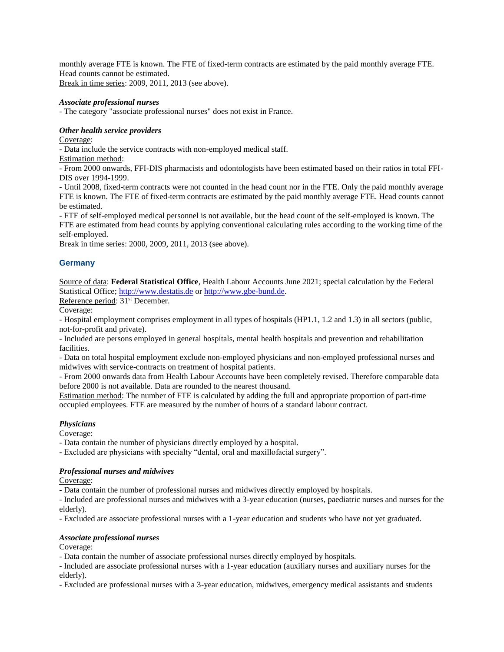monthly average FTE is known. The FTE of fixed-term contracts are estimated by the paid monthly average FTE. Head counts cannot be estimated. Break in time series: 2009, 2011, 2013 (see above).

## *Associate professional nurses*

- The category "associate professional nurses" does not exist in France.

#### *Other health service providers*

Coverage:

- Data include the service contracts with non-employed medical staff.

Estimation method:

- From 2000 onwards, FFI-DIS pharmacists and odontologists have been estimated based on their ratios in total FFI-DIS over 1994-1999.

- Until 2008, fixed-term contracts were not counted in the head count nor in the FTE. Only the paid monthly average FTE is known. The FTE of fixed-term contracts are estimated by the paid monthly average FTE. Head counts cannot be estimated.

- FTE of self-employed medical personnel is not available, but the head count of the self-employed is known. The FTE are estimated from head counts by applying conventional calculating rules according to the working time of the self-employed.

Break in time series: 2000, 2009, 2011, 2013 (see above).

## **Germany**

Source of data: **Federal Statistical Office**, Health Labour Accounts June 2021; special calculation by the Federal Statistical Office[; http://www.destatis.de](http://www.destatis.de/) or [http://www.gbe-bund.de.](http://www.gbe-bund.de/)

Reference period: 31st December.

Coverage:

- Hospital employment comprises employment in all types of hospitals (HP1.1, 1.2 and 1.3) in all sectors (public, not-for-profit and private).

- Included are persons employed in general hospitals, mental health hospitals and prevention and rehabilitation facilities.

- Data on total hospital employment exclude non-employed physicians and non-employed professional nurses and midwives with service-contracts on treatment of hospital patients.

- From 2000 onwards data from Health Labour Accounts have been completely revised. Therefore comparable data before 2000 is not available. Data are rounded to the nearest thousand.

Estimation method: The number of FTE is calculated by adding the full and appropriate proportion of part-time occupied employees. FTE are measured by the number of hours of a standard labour contract.

#### *Physicians*

Coverage:

- Data contain the number of physicians directly employed by a hospital.

- Excluded are physicians with specialty "dental, oral and maxillofacial surgery".

#### *Professional nurses and midwives*

Coverage:

- Data contain the number of professional nurses and midwives directly employed by hospitals.

- Included are professional nurses and midwives with a 3-year education (nurses, paediatric nurses and nurses for the elderly).

- Excluded are associate professional nurses with a 1-year education and students who have not yet graduated.

#### *Associate professional nurses*

Coverage:

- Data contain the number of associate professional nurses directly employed by hospitals.

- Included are associate professional nurses with a 1-year education (auxiliary nurses and auxiliary nurses for the elderly).

- Excluded are professional nurses with a 3-year education, midwives, emergency medical assistants and students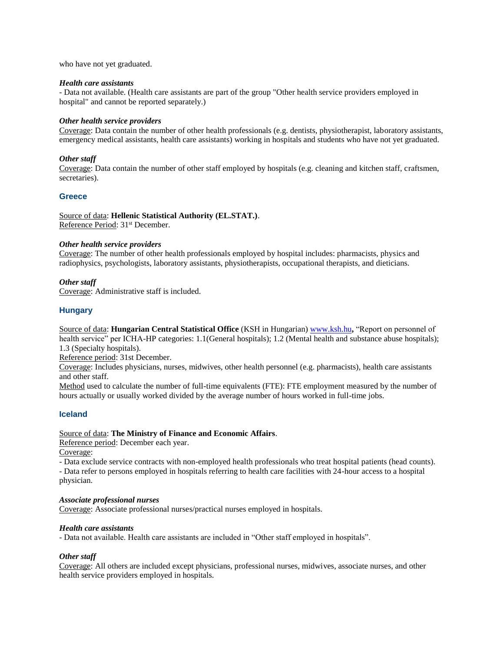who have not yet graduated.

#### *Health care assistants*

- Data not available. (Health care assistants are part of the group "Other health service providers employed in hospital" and cannot be reported separately.)

#### *Other health service providers*

Coverage: Data contain the number of other health professionals (e.g. dentists, physiotherapist, laboratory assistants, emergency medical assistants, health care assistants) working in hospitals and students who have not yet graduated.

#### *Other staff*

Coverage: Data contain the number of other staff employed by hospitals (e.g. cleaning and kitchen staff, craftsmen, secretaries).

#### **Greece**

Source of data: **Hellenic Statistical Authority (EL.STAT.)**. Reference Period: 31<sup>st</sup> December.

#### *Other health service providers*

Coverage: The number of other health professionals employed by hospital includes: pharmacists, physics and radiophysics, psychologists, laboratory assistants, physiotherapists, occupational therapists, and dieticians.

#### *Other staff*

Coverage: Administrative staff is included.

#### **Hungary**

Source of data: **Hungarian Central Statistical Office** (KSH in Hungarian) [www.ksh.hu](http://www.ksh.hu/)**,** "Report on personnel of health service" per ICHA-HP categories: 1.1(General hospitals); 1.2 (Mental health and substance abuse hospitals); 1.3 (Specialty hospitals).

Reference period: 31st December.

Coverage: Includes physicians, nurses, midwives, other health personnel (e.g. pharmacists), health care assistants and other staff.

Method used to calculate the number of full-time equivalents (FTE): FTE employment measured by the number of hours actually or usually worked divided by the average number of hours worked in full-time jobs.

#### **Iceland**

#### Source of data: **The Ministry of Finance and Economic Affairs**.

Reference period: December each year.

Coverage:

- Data exclude service contracts with non-employed health professionals who treat hospital patients (head counts).

- Data refer to persons employed in hospitals referring to health care facilities with 24-hour access to a hospital physician.

#### *Associate professional nurses*

Coverage: Associate professional nurses/practical nurses employed in hospitals.

#### *Health care assistants*

- Data not available. Health care assistants are included in "Other staff employed in hospitals".

#### *Other staff*

Coverage: All others are included except physicians, professional nurses, midwives, associate nurses, and other health service providers employed in hospitals.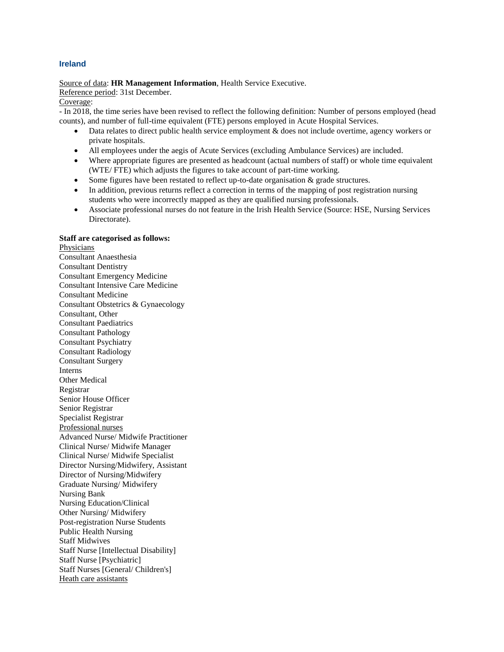## **Ireland**

Source of data: **HR Management Information**, Health Service Executive.

## Reference period: 31st December.

#### Coverage:

- In 2018, the time series have been revised to reflect the following definition: Number of persons employed (head counts), and number of full-time equivalent (FTE) persons employed in Acute Hospital Services.

- Data relates to direct public health service employment & does not include overtime, agency workers or private hospitals.
- All employees under the aegis of Acute Services (excluding Ambulance Services) are included.
- Where appropriate figures are presented as headcount (actual numbers of staff) or whole time equivalent (WTE/ FTE) which adjusts the figures to take account of part-time working.
- Some figures have been restated to reflect up-to-date organisation & grade structures.
- In addition, previous returns reflect a correction in terms of the mapping of post registration nursing students who were incorrectly mapped as they are qualified nursing professionals.
- Associate professional nurses do not feature in the Irish Health Service (Source: HSE, Nursing Services Directorate).

## **Staff are categorised as follows:**

Physicians Consultant Anaesthesia Consultant Dentistry Consultant Emergency Medicine Consultant Intensive Care Medicine Consultant Medicine Consultant Obstetrics & Gynaecology Consultant, Other Consultant Paediatrics Consultant Pathology Consultant Psychiatry Consultant Radiology Consultant Surgery Interns Other Medical Registrar Senior House Officer Senior Registrar Specialist Registrar Professional nurses Advanced Nurse/ Midwife Practitioner Clinical Nurse/ Midwife Manager Clinical Nurse/ Midwife Specialist Director Nursing/Midwifery, Assistant Director of Nursing/Midwifery Graduate Nursing/ Midwifery Nursing Bank Nursing Education/Clinical Other Nursing/ Midwifery Post-registration Nurse Students Public Health Nursing Staff Midwives Staff Nurse [Intellectual Disability] Staff Nurse [Psychiatric] Staff Nurses [General/ Children's] Heath care assistants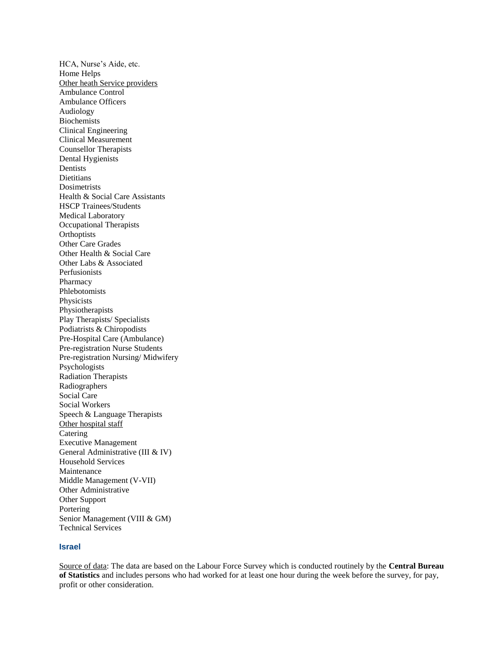HCA, Nurse's Aide, etc. Home Helps Other heath Service providers Ambulance Control Ambulance Officers Audiology Biochemists Clinical Engineering Clinical Measurement Counsellor Therapists Dental Hygienists Dentists **Dietitians Dosimetrists** Health & Social Care Assistants HSCP Trainees/Students Medical Laboratory Occupational Therapists **Orthoptists** Other Care Grades Other Health & Social Care Other Labs & Associated Perfusionists Pharmacy Phlebotomists Physicists Physiotherapists Play Therapists/ Specialists Podiatrists & Chiropodists Pre-Hospital Care (Ambulance) Pre-registration Nurse Students Pre-registration Nursing/ Midwifery Psychologists Radiation Therapists Radiographers Social Care Social Workers Speech & Language Therapists Other hospital staff **Catering** Executive Management General Administrative (III & IV) Household Services Maintenance Middle Management (V-VII) Other Administrative Other Support Portering Senior Management (VIII & GM) Technical Services

## **Israel**

Source of data: The data are based on the Labour Force Survey which is conducted routinely by the **Central Bureau of Statistics** and includes persons who had worked for at least one hour during the week before the survey, for pay, profit or other consideration.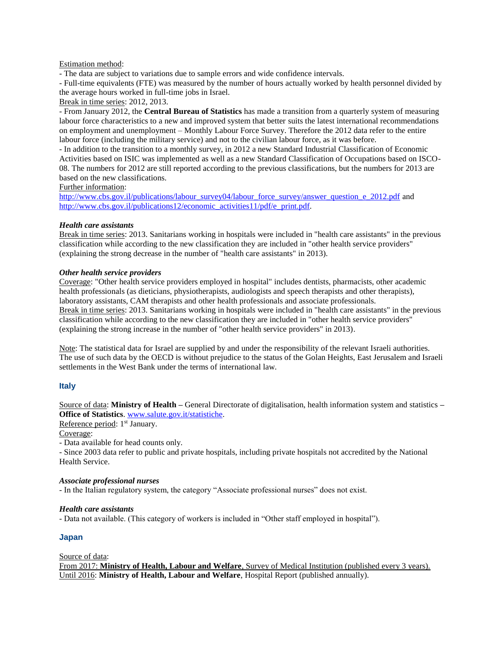#### Estimation method:

- The data are subject to variations due to sample errors and wide confidence intervals.

- Full-time equivalents (FTE) was measured by the number of hours actually worked by health personnel divided by the average hours worked in full-time jobs in Israel.

#### Break in time series: 2012, 2013.

- From January 2012, the **Central Bureau of Statistics** has made a transition from a quarterly system of measuring labour force characteristics to a new and improved system that better suits the latest international recommendations on employment and unemployment – Monthly Labour Force Survey. Therefore the 2012 data refer to the entire labour force (including the military service) and not to the civilian labour force, as it was before.

- In addition to the transition to a monthly survey, in 2012 a new Standard Industrial Classification of Economic Activities based on ISIC was implemented as well as a new Standard Classification of Occupations based on ISCO-08. The numbers for 2012 are still reported according to the previous classifications, but the numbers for 2013 are based on the new classifications.

## Further information:

[http://www.cbs.gov.il/publications/labour\\_survey04/labour\\_force\\_survey/answer\\_question\\_e\\_2012.pdf](http://www.cbs.gov.il/publications/labour_survey04/labour_force_survey/answer_question_e_2012.pdf) and [http://www.cbs.gov.il/publications12/economic\\_activities11/pdf/e\\_print.pdf.](http://www.cbs.gov.il/publications12/economic_activities11/pdf/e_print.pdf)

## *Health care assistants*

Break in time series: 2013. Sanitarians working in hospitals were included in "health care assistants" in the previous classification while according to the new classification they are included in "other health service providers" (explaining the strong decrease in the number of "health care assistants" in 2013).

## *Other health service providers*

Coverage: "Other health service providers employed in hospital" includes dentists, pharmacists, other academic health professionals (as dieticians, physiotherapists, audiologists and speech therapists and other therapists), laboratory assistants, CAM therapists and other health professionals and associate professionals. Break in time series: 2013. Sanitarians working in hospitals were included in "health care assistants" in the previous classification while according to the new classification they are included in "other health service providers" (explaining the strong increase in the number of "other health service providers" in 2013).

Note: The statistical data for Israel are supplied by and under the responsibility of the relevant Israeli authorities. The use of such data by the OECD is without prejudice to the status of the Golan Heights, East Jerusalem and Israeli settlements in the West Bank under the terms of international law.

## **Italy**

Source of data: **Ministry of Health –** General Directorate of digitalisation, health information system and statistics **– Office of Statistics**[. www.salute.gov.it/statistiche.](http://www.salute.gov.it/statistiche)

Reference period: 1<sup>st</sup> January.

Coverage:

- Data available for head counts only.

- Since 2003 data refer to public and private hospitals, including private hospitals not accredited by the National Health Service.

#### *Associate professional nurses*

- In the Italian regulatory system, the category "Associate professional nurses" does not exist.

#### *Health care assistants*

- Data not available. (This category of workers is included in "Other staff employed in hospital").

## **Japan**

Source of data:

From 2017: **Ministry of Health, Labour and Welfare**, Survey of Medical Institution (published every 3 years). Until 2016: **Ministry of Health, Labour and Welfare**, Hospital Report (published annually).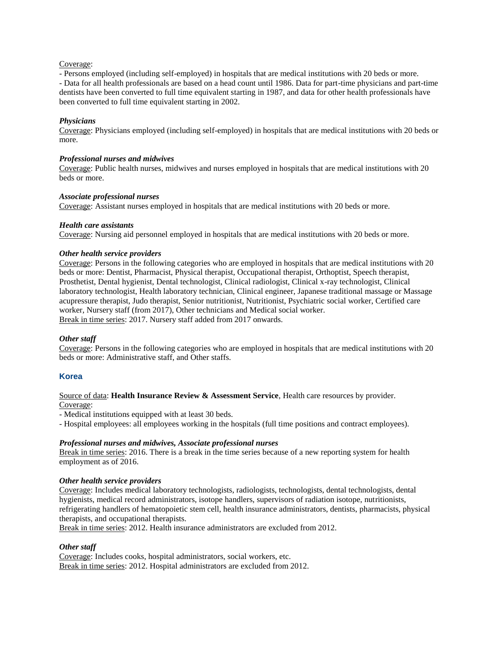#### Coverage:

- Persons employed (including self-employed) in hospitals that are medical institutions with 20 beds or more. - Data for all health professionals are based on a head count until 1986. Data for part-time physicians and part-time dentists have been converted to full time equivalent starting in 1987, and data for other health professionals have been converted to full time equivalent starting in 2002.

#### *Physicians*

Coverage: Physicians employed (including self-employed) in hospitals that are medical institutions with 20 beds or more.

#### *Professional nurses and midwives*

Coverage: Public health nurses, midwives and nurses employed in hospitals that are medical institutions with 20 beds or more.

#### *Associate professional nurses*

Coverage: Assistant nurses employed in hospitals that are medical institutions with 20 beds or more.

#### *Health care assistants*

Coverage: Nursing aid personnel employed in hospitals that are medical institutions with 20 beds or more.

#### *Other health service providers*

Coverage: Persons in the following categories who are employed in hospitals that are medical institutions with 20 beds or more: Dentist, Pharmacist, Physical therapist, Occupational therapist, Orthoptist, Speech therapist, Prosthetist, Dental hygienist, Dental technologist, Clinical radiologist, Clinical x-ray technologist, Clinical laboratory technologist, Health laboratory technician, Clinical engineer, Japanese traditional massage or Massage acupressure therapist, Judo therapist, Senior nutritionist, Nutritionist, Psychiatric social worker, Certified care worker, Nursery staff (from 2017), Other technicians and Medical social worker. Break in time series: 2017. Nursery staff added from 2017 onwards.

#### *Other staff*

Coverage: Persons in the following categories who are employed in hospitals that are medical institutions with 20 beds or more: Administrative staff, and Other staffs.

#### **Korea**

Source of data: **Health Insurance Review & Assessment Service**, Health care resources by provider. Coverage:

- Medical institutions equipped with at least 30 beds.

- Hospital employees: all employees working in the hospitals (full time positions and contract employees).

#### *Professional nurses and midwives, Associate professional nurses*

Break in time series: 2016. There is a break in the time series because of a new reporting system for health employment as of 2016.

#### *Other health service providers*

Coverage: Includes medical laboratory technologists, radiologists, technologists, dental technologists, dental hygienists, medical record administrators, isotope handlers, supervisors of radiation isotope, nutritionists, refrigerating handlers of hematopoietic stem cell, health insurance administrators, dentists, pharmacists, physical therapists, and occupational therapists.

Break in time series: 2012. Health insurance administrators are excluded from 2012.

#### *Other staff*

Coverage: Includes cooks, hospital administrators, social workers, etc. Break in time series: 2012. Hospital administrators are excluded from 2012.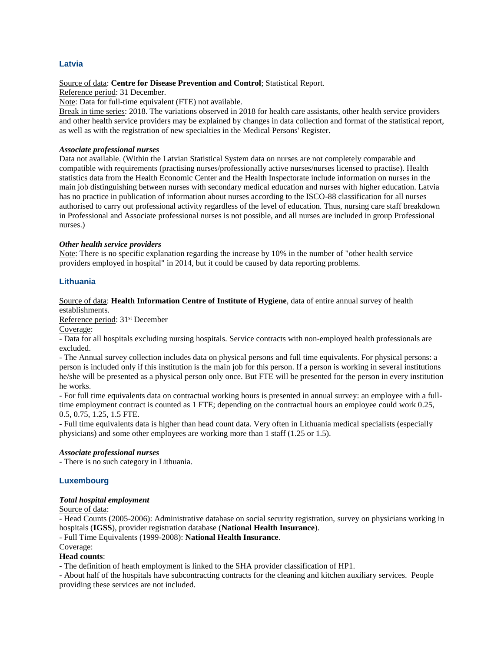## **Latvia**

#### Source of data: **Centre for Disease Prevention and Control**; Statistical Report.

Reference period: 31 December.

Note: Data for full-time equivalent (FTE) not available.

Break in time series: 2018. The variations observed in 2018 for health care assistants, other health service providers and other health service providers may be explained by changes in data collection and format of the statistical report, as well as with the registration of new specialties in the Medical Persons' Register.

## *Associate professional nurses*

Data not available. (Within the Latvian Statistical System data on nurses are not completely comparable and compatible with requirements (practising nurses/professionally active nurses/nurses licensed to practise). Health statistics data from the Health Economic Center and the Health Inspectorate include information on nurses in the main job distinguishing between nurses with secondary medical education and nurses with higher education. Latvia has no practice in publication of information about nurses according to the ISCO-88 classification for all nurses authorised to carry out professional activity regardless of the level of education. Thus, nursing care staff breakdown in Professional and Associate professional nurses is not possible, and all nurses are included in group Professional nurses.)

## *Other health service providers*

Note: There is no specific explanation regarding the increase by 10% in the number of "other health service providers employed in hospital" in 2014, but it could be caused by data reporting problems.

## **Lithuania**

Source of data: **Health Information Centre of Institute of Hygiene**, data of entire annual survey of health establishments.

Reference period: 31st December

Coverage:

- Data for all hospitals excluding nursing hospitals. Service contracts with non-employed health professionals are excluded.

- The Annual survey collection includes data on physical persons and full time equivalents. For physical persons: a person is included only if this institution is the main job for this person. If a person is working in several institutions he/she will be presented as a physical person only once. But FTE will be presented for the person in every institution he works.

- For full time equivalents data on contractual working hours is presented in annual survey: an employee with a fulltime employment contract is counted as 1 FTE; depending on the contractual hours an employee could work 0.25, 0.5, 0.75, 1.25, 1.5 FTE.

- Full time equivalents data is higher than head count data. Very often in Lithuania medical specialists (especially physicians) and some other employees are working more than 1 staff (1.25 or 1.5).

## *Associate professional nurses*

- There is no such category in Lithuania.

## **Luxembourg**

#### *Total hospital employment*

Source of data:

- Head Counts (2005-2006): Administrative database on social security registration, survey on physicians working in hospitals (**IGSS**), provider registration database (**National Health Insurance**).

- Full Time Equivalents (1999-2008): **National Health Insurance**.

Coverage: **Head counts**:

- The definition of heath employment is linked to the SHA provider classification of HP1.

- About half of the hospitals have subcontracting contracts for the cleaning and kitchen auxiliary services. People providing these services are not included.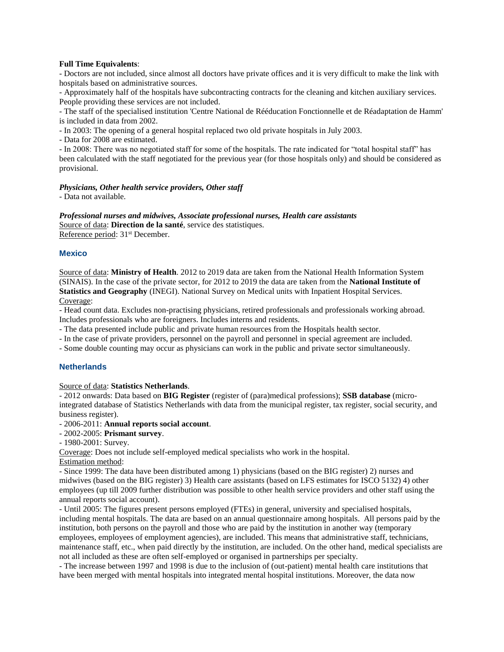#### **Full Time Equivalents**:

- Doctors are not included, since almost all doctors have private offices and it is very difficult to make the link with hospitals based on administrative sources.

- Approximately half of the hospitals have subcontracting contracts for the cleaning and kitchen auxiliary services. People providing these services are not included.

- The staff of the specialised institution 'Centre National de Rééducation Fonctionnelle et de Réadaptation de Hamm' is included in data from 2002.

- In 2003: The opening of a general hospital replaced two old private hospitals in July 2003.

- Data for 2008 are estimated.

- In 2008: There was no negotiated staff for some of the hospitals. The rate indicated for "total hospital staff" has been calculated with the staff negotiated for the previous year (for those hospitals only) and should be considered as provisional.

## *Physicians, Other health service providers, Other staff*

- Data not available.

*Professional nurses and midwives, Associate professional nurses, Health care assistants* Source of data: **Direction de la santé**, service des statistiques. Reference period: 31<sup>st</sup> December.

## **Mexico**

Source of data: **Ministry of Health**. 2012 to 2019 data are taken from the National Health Information System (SINAIS). In the case of the private sector, for 2012 to 2019 the data are taken from the **National Institute of Statistics and Geography** (INEGI). National Survey on Medical units with Inpatient Hospital Services. Coverage:

- Head count data. Excludes non-practising physicians, retired professionals and professionals working abroad. Includes professionals who are foreigners. Includes interns and residents.

- The data presented include public and private human resources from the Hospitals health sector.

- In the case of private providers, personnel on the payroll and personnel in special agreement are included.

- Some double counting may occur as physicians can work in the public and private sector simultaneously.

## **Netherlands**

#### Source of data: **Statistics Netherlands**.

- 2012 onwards: Data based on **BIG Register** (register of (para)medical professions); **SSB database** (microintegrated database of Statistics Netherlands with data from the municipal register, tax register, social security, and business register).

- 2006-2011: **Annual reports social account**.

- 2002-2005: **Prismant survey**.
- 1980-2001: Survey.

Coverage: Does not include self-employed medical specialists who work in the hospital.

Estimation method:

- Since 1999: The data have been distributed among 1) physicians (based on the BIG register) 2) nurses and midwives (based on the BIG register) 3) Health care assistants (based on LFS estimates for ISCO 5132) 4) other employees (up till 2009 further distribution was possible to other health service providers and other staff using the annual reports social account).

- Until 2005: The figures present persons employed (FTEs) in general, university and specialised hospitals, including mental hospitals. The data are based on an annual questionnaire among hospitals. All persons paid by the institution, both persons on the payroll and those who are paid by the institution in another way (temporary employees, employees of employment agencies), are included. This means that administrative staff, technicians, maintenance staff, etc., when paid directly by the institution, are included. On the other hand, medical specialists are not all included as these are often self-employed or organised in partnerships per specialty.

- The increase between 1997 and 1998 is due to the inclusion of (out-patient) mental health care institutions that have been merged with mental hospitals into integrated mental hospital institutions. Moreover, the data now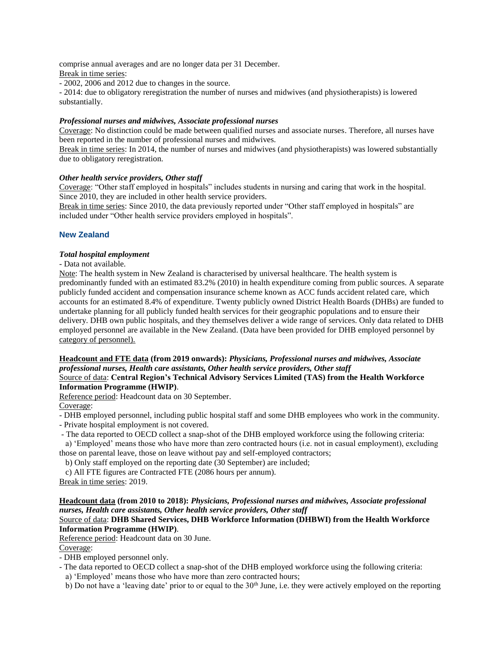comprise annual averages and are no longer data per 31 December.

Break in time series:

- 2002, 2006 and 2012 due to changes in the source.

- 2014: due to obligatory reregistration the number of nurses and midwives (and physiotherapists) is lowered substantially.

## *Professional nurses and midwives, Associate professional nurses*

Coverage: No distinction could be made between qualified nurses and associate nurses. Therefore, all nurses have been reported in the number of professional nurses and midwives.

Break in time series: In 2014, the number of nurses and midwives (and physiotherapists) was lowered substantially due to obligatory reregistration.

## *Other health service providers, Other staff*

Coverage: "Other staff employed in hospitals" includes students in nursing and caring that work in the hospital. Since 2010, they are included in other health service providers.

Break in time series: Since 2010, the data previously reported under "Other staff employed in hospitals" are included under "Other health service providers employed in hospitals".

## **New Zealand**

## *Total hospital employment*

- Data not available.

Note: The health system in New Zealand is characterised by universal healthcare. The health system is predominantly funded with an estimated 83.2% (2010) in health expenditure coming from public sources. A separate publicly funded accident and compensation insurance scheme known as ACC funds accident related care, which accounts for an estimated 8.4% of expenditure. Twenty publicly owned District Health Boards (DHBs) are funded to undertake planning for all publicly funded health services for their geographic populations and to ensure their delivery. DHB own public hospitals, and they themselves deliver a wide range of services. Only data related to DHB employed personnel are available in the New Zealand. (Data have been provided for DHB employed personnel by category of personnel).

# **Headcount and FTE data (from 2019 onwards):** *Physicians, Professional nurses and midwives, Associate professional nurses, Health care assistants, Other health service providers, Other staff*

## Source of data: **Central Region's Technical Advisory Services Limited (TAS) from the Health Workforce Information Programme (HWIP)**.

Reference period: Headcount data on 30 September.

Coverage:

- DHB employed personnel, including public hospital staff and some DHB employees who work in the community.

- Private hospital employment is not covered.

- The data reported to OECD collect a snap-shot of the DHB employed workforce using the following criteria:

 a) 'Employed' means those who have more than zero contracted hours (i.e. not in casual employment), excluding those on parental leave, those on leave without pay and self-employed contractors;

- b) Only staff employed on the reporting date (30 September) are included;
- c) All FTE figures are Contracted FTE (2086 hours per annum).

Break in time series: 2019.

# **Headcount data (from 2010 to 2018):** *Physicians, Professional nurses and midwives, Associate professional nurses, Health care assistants, Other health service providers, Other staff*

## Source of data: **DHB Shared Services, DHB Workforce Information (DHBWI) from the Health Workforce Information Programme (HWIP)**.

Reference period: Headcount data on 30 June.

Coverage:

- DHB employed personnel only.

- The data reported to OECD collect a snap-shot of the DHB employed workforce using the following criteria:
- a) 'Employed' means those who have more than zero contracted hours;
- b) Do not have a 'leaving date' prior to or equal to the 30<sup>th</sup> June, i.e. they were actively employed on the reporting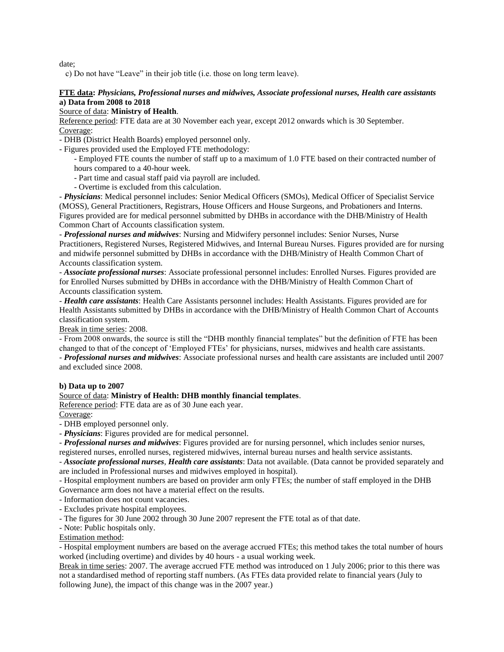date;

c) Do not have "Leave" in their job title (i.e. those on long term leave).

## **FTE data:** *Physicians, Professional nurses and midwives, Associate professional nurses, Health care assistants* **a) Data from 2008 to 2018**

## Source of data: **Ministry of Health**.

Reference period: FTE data are at 30 November each year, except 2012 onwards which is 30 September. Coverage:

- DHB (District Health Boards) employed personnel only.

- Figures provided used the Employed FTE methodology:

- Employed FTE counts the number of staff up to a maximum of 1.0 FTE based on their contracted number of hours compared to a 40-hour week.

- Part time and casual staff paid via payroll are included.
- Overtime is excluded from this calculation.

- *Physicians*: Medical personnel includes: Senior Medical Officers (SMOs), Medical Officer of Specialist Service (MOSS), General Practitioners, Registrars, House Officers and House Surgeons, and Probationers and Interns. Figures provided are for medical personnel submitted by DHBs in accordance with the DHB/Ministry of Health Common Chart of Accounts classification system.

- *Professional nurses and midwives*: Nursing and Midwifery personnel includes: Senior Nurses, Nurse Practitioners, Registered Nurses, Registered Midwives, and Internal Bureau Nurses. Figures provided are for nursing and midwife personnel submitted by DHBs in accordance with the DHB/Ministry of Health Common Chart of Accounts classification system.

- *Associate professional nurses*: Associate professional personnel includes: Enrolled Nurses. Figures provided are for Enrolled Nurses submitted by DHBs in accordance with the DHB/Ministry of Health Common Chart of Accounts classification system.

- *Health care assistants*: Health Care Assistants personnel includes: Health Assistants. Figures provided are for Health Assistants submitted by DHBs in accordance with the DHB/Ministry of Health Common Chart of Accounts classification system.

Break in time series: 2008.

- From 2008 onwards, the source is still the "DHB monthly financial templates" but the definition of FTE has been changed to that of the concept of 'Employed FTEs' for physicians, nurses, midwives and health care assistants.

- *Professional nurses and midwives*: Associate professional nurses and health care assistants are included until 2007 and excluded since 2008.

#### **b) Data up to 2007**

## Source of data: **Ministry of Health: DHB monthly financial templates**.

Reference period: FTE data are as of 30 June each year.

Coverage:

- DHB employed personnel only.

- *Physicians*: Figures provided are for medical personnel.

- *Professional nurses and midwives*: Figures provided are for nursing personnel, which includes senior nurses,

registered nurses, enrolled nurses, registered midwives, internal bureau nurses and health service assistants.

- *Associate professional nurses*, *Health care assistants*: Data not available. (Data cannot be provided separately and are included in Professional nurses and midwives employed in hospital).

- Hospital employment numbers are based on provider arm only FTEs; the number of staff employed in the DHB Governance arm does not have a material effect on the results.

- Information does not count vacancies.

- Excludes private hospital employees.

- The figures for 30 June 2002 through 30 June 2007 represent the FTE total as of that date.

- Note: Public hospitals only.

#### Estimation method:

- Hospital employment numbers are based on the average accrued FTEs; this method takes the total number of hours worked (including overtime) and divides by 40 hours - a usual working week.

Break in time series: 2007. The average accrued FTE method was introduced on 1 July 2006; prior to this there was not a standardised method of reporting staff numbers. (As FTEs data provided relate to financial years (July to following June), the impact of this change was in the 2007 year.)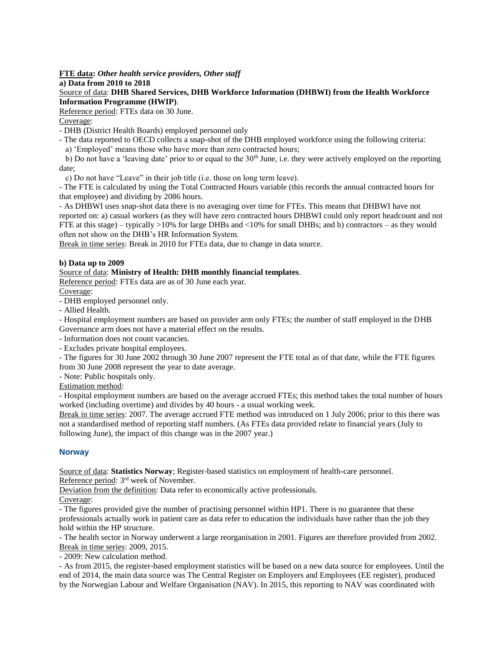## **FTE data:** *Other health service providers, Other staff*

#### **a) Data from 2010 to 2018**

## Source of data: **DHB Shared Services, DHB Workforce Information (DHBWI) from the Health Workforce Information Programme (HWIP)**.

Reference period: FTEs data on 30 June.

## Coverage:

- DHB (District Health Boards) employed personnel only

- The data reported to OECD collects a snap-shot of the DHB employed workforce using the following criteria:
	- a) 'Employed' means those who have more than zero contracted hours;

b) Do not have a 'leaving date' prior to or equal to the  $30<sup>th</sup>$  June, i.e. they were actively employed on the reporting date;

c) Do not have "Leave" in their job title (i.e. those on long term leave).

- The FTE is calculated by using the Total Contracted Hours variable (this records the annual contracted hours for that employee) and dividing by 2086 hours.

- As DHBWI uses snap-shot data there is no averaging over time for FTEs. This means that DHBWI have not reported on: a) casual workers (as they will have zero contracted hours DHBWI could only report headcount and not FTE at this stage) – typically >10% for large DHBs and <10% for small DHBs; and b) contractors – as they would often not show on the DHB's HR Information System.

Break in time series: Break in 2010 for FTEs data, due to change in data source.

## **b) Data up to 2009**

## Source of data: **Ministry of Health: DHB monthly financial templates**.

Reference period: FTEs data are as of 30 June each year.

Coverage:

- DHB employed personnel only.

- Allied Health.

- Hospital employment numbers are based on provider arm only FTEs; the number of staff employed in the DHB Governance arm does not have a material effect on the results.

- Information does not count vacancies.

- Excludes private hospital employees.

- The figures for 30 June 2002 through 30 June 2007 represent the FTE total as of that date, while the FTE figures from 30 June 2008 represent the year to date average.

- Note: Public hospitals only.

Estimation method:

- Hospital employment numbers are based on the average accrued FTEs; this method takes the total number of hours worked (including overtime) and divides by 40 hours - a usual working week.

Break in time series: 2007. The average accrued FTE method was introduced on 1 July 2006; prior to this there was not a standardised method of reporting staff numbers. (As FTEs data provided relate to financial years (July to following June), the impact of this change was in the 2007 year.)

# **Norway**

Source of data: **Statistics Norway**; Register-based statistics on employment of health-care personnel.

Reference period: 3rd week of November.

Deviation from the definition: Data refer to economically active professionals.

Coverage:

- The figures provided give the number of practising personnel within HP1. There is no guarantee that these professionals actually work in patient care as data refer to education the individuals have rather than the job they hold within the HP structure.

- The health sector in Norway underwent a large reorganisation in 2001. Figures are therefore provided from 2002. Break in time series: 2009, 2015.

- 2009: New calculation method.

- As from 2015, the register-based employment statistics will be based on a new data source for employees. Until the end of 2014, the main data source was The Central Register on Employers and Employees (EE register), produced by the Norwegian Labour and Welfare Organisation (NAV). In 2015, this reporting to NAV was coordinated with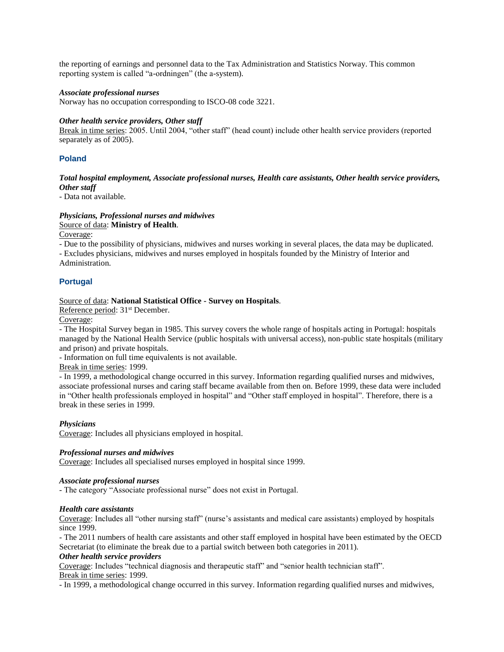the reporting of earnings and personnel data to the Tax Administration and Statistics Norway. This common reporting system is called "a-ordningen" (the a-system).

#### *Associate professional nurses*

Norway has no occupation corresponding to ISCO-08 code 3221.

#### *Other health service providers, Other staff*

Break in time series: 2005. Until 2004, "other staff" (head count) include other health service providers (reported separately as of 2005).

## **Poland**

#### *Total hospital employment, Associate professional nurses, Health care assistants, Other health service providers, Other staff*

- Data not available.

## *Physicians, Professional nurses and midwives*

Source of data: **Ministry of Health**.

Coverage:

- Due to the possibility of physicians, midwives and nurses working in several places, the data may be duplicated.

- Excludes physicians, midwives and nurses employed in hospitals founded by the Ministry of Interior and Administration.

## **Portugal**

## Source of data: **National Statistical Office - Survey on Hospitals**.

Reference period: 31<sup>st</sup> December.

Coverage:

- The Hospital Survey began in 1985. This survey covers the whole range of hospitals acting in Portugal: hospitals managed by the National Health Service (public hospitals with universal access), non-public state hospitals (military and prison) and private hospitals.

- Information on full time equivalents is not available.

Break in time series: 1999.

- In 1999, a methodological change occurred in this survey. Information regarding qualified nurses and midwives, associate professional nurses and caring staff became available from then on. Before 1999, these data were included in "Other health professionals employed in hospital" and "Other staff employed in hospital". Therefore, there is a break in these series in 1999.

#### *Physicians*

Coverage: Includes all physicians employed in hospital.

## *Professional nurses and midwives*

Coverage: Includes all specialised nurses employed in hospital since 1999.

#### *Associate professional nurses*

- The category "Associate professional nurse" does not exist in Portugal.

#### *Health care assistants*

Coverage: Includes all "other nursing staff" (nurse's assistants and medical care assistants) employed by hospitals since 1999.

- The 2011 numbers of health care assistants and other staff employed in hospital have been estimated by the OECD Secretariat (to eliminate the break due to a partial switch between both categories in 2011).

#### *Other health service providers*

Coverage: Includes "technical diagnosis and therapeutic staff" and "senior health technician staff". Break in time series: 1999.

- In 1999, a methodological change occurred in this survey. Information regarding qualified nurses and midwives,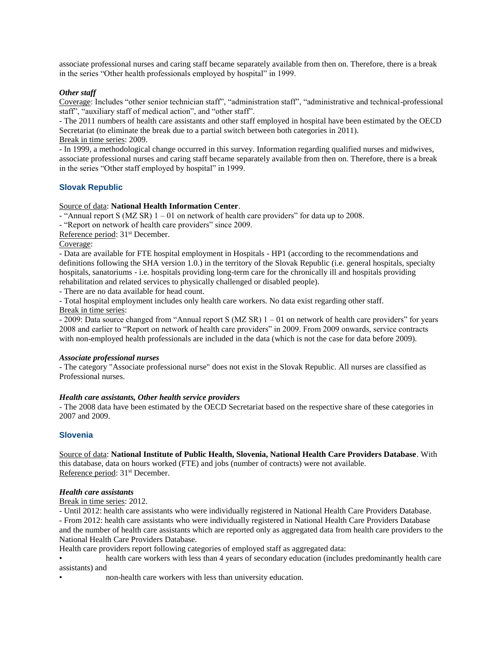associate professional nurses and caring staff became separately available from then on. Therefore, there is a break in the series "Other health professionals employed by hospital" in 1999.

## *Other staff*

Coverage: Includes "other senior technician staff", "administration staff", "administrative and technical-professional staff", "auxiliary staff of medical action", and "other staff".

- The 2011 numbers of health care assistants and other staff employed in hospital have been estimated by the OECD Secretariat (to eliminate the break due to a partial switch between both categories in 2011).

Break in time series: 2009.

- In 1999, a methodological change occurred in this survey. Information regarding qualified nurses and midwives, associate professional nurses and caring staff became separately available from then on. Therefore, there is a break in the series "Other staff employed by hospital" in 1999.

## **Slovak Republic**

#### Source of data: **National Health Information Center**.

- "Annual report S (MZ SR) 1 – 01 on network of health care providers" for data up to 2008.

- "Report on network of health care providers" since 2009.

Reference period: 31<sup>st</sup> December.

#### Coverage:

- Data are available for FTE hospital employment in Hospitals - HP1 (according to the recommendations and definitions following the SHA version 1.0.) in the territory of the Slovak Republic (i.e. general hospitals, specialty hospitals, sanatoriums - i.e. hospitals providing long-term care for the chronically ill and hospitals providing rehabilitation and related services to physically challenged or disabled people).

- There are no data available for head count.

- Total hospital employment includes only health care workers. No data exist regarding other staff.

Break in time series:

- 2009: Data source changed from "Annual report S (MZ SR) 1 – 01 on network of health care providers" for years 2008 and earlier to "Report on network of health care providers" in 2009. From 2009 onwards, service contracts with non-employed health professionals are included in the data (which is not the case for data before 2009).

#### *Associate professional nurses*

- The category "Associate professional nurse" does not exist in the Slovak Republic. All nurses are classified as Professional nurses.

#### *Health care assistants, Other health service providers*

- The 2008 data have been estimated by the OECD Secretariat based on the respective share of these categories in 2007 and 2009.

#### **Slovenia**

Source of data: **National Institute of Public Health, Slovenia, National Health Care Providers Database**. With this database, data on hours worked (FTE) and jobs (number of contracts) were not available. Reference period: 31st December.

#### *Health care assistants*

Break in time series: 2012.

- Until 2012: health care assistants who were individually registered in National Health Care Providers Database. - From 2012: health care assistants who were individually registered in National Health Care Providers Database and the number of health care assistants which are reported only as aggregated data from health care providers to the National Health Care Providers Database.

Health care providers report following categories of employed staff as aggregated data:

• health care workers with less than 4 years of secondary education (includes predominantly health care assistants) and

• non-health care workers with less than university education.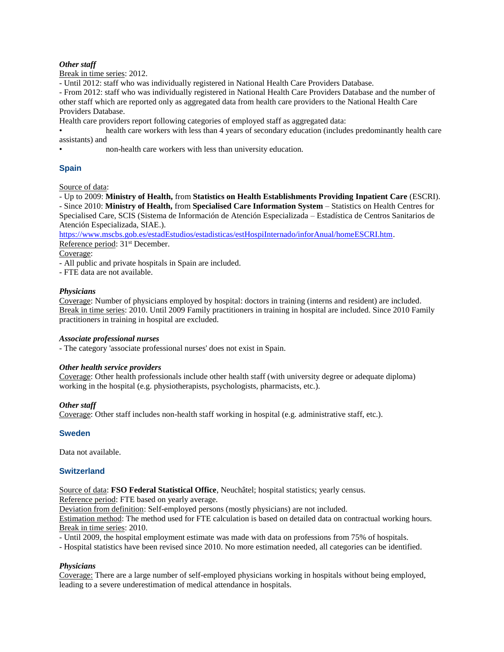## *Other staff*

Break in time series: 2012.

- Until 2012: staff who was individually registered in National Health Care Providers Database.

- From 2012: staff who was individually registered in National Health Care Providers Database and the number of other staff which are reported only as aggregated data from health care providers to the National Health Care Providers Database.

Health care providers report following categories of employed staff as aggregated data:

• health care workers with less than 4 years of secondary education (includes predominantly health care assistants) and

• non-health care workers with less than university education.

# **Spain**

Source of data:

- Up to 2009: **Ministry of Health,** from **Statistics on Health Establishments Providing Inpatient Care** (ESCRI). - Since 2010: **Ministry of Health,** from **Specialised Care Information System** – Statistics on Health Centres for Specialised Care, SCIS (Sistema de Información de Atención Especializada – Estadística de Centros Sanitarios de Atención Especializada, SIAE.).

[https://www.mscbs.gob.es/estadEstudios/estadisticas/estHospiInternado/inforAnual/homeESCRI.htm.](https://www.mscbs.gob.es/estadEstudios/estadisticas/estHospiInternado/inforAnual/homeESCRI.htm) Reference period: 31<sup>st</sup> December.

Coverage:

- All public and private hospitals in Spain are included.

- FTE data are not available.

## *Physicians*

Coverage: Number of physicians employed by hospital: doctors in training (interns and resident) are included. Break in time series: 2010. Until 2009 Family practitioners in training in hospital are included. Since 2010 Family practitioners in training in hospital are excluded.

## *Associate professional nurses*

- The category 'associate professional nurses' does not exist in Spain.

## *Other health service providers*

Coverage: Other health professionals include other health staff (with university degree or adequate diploma) working in the hospital (e.g. physiotherapists, psychologists, pharmacists, etc.).

## *Other staff*

Coverage: Other staff includes non-health staff working in hospital (e.g. administrative staff, etc.).

## **Sweden**

Data not available.

## **Switzerland**

Source of data: **FSO Federal Statistical Office**, Neuchâtel; hospital statistics; yearly census.

Reference period: FTE based on yearly average.

Deviation from definition: Self-employed persons (mostly physicians) are not included.

Estimation method: The method used for FTE calculation is based on detailed data on contractual working hours. Break in time series: 2010.

- Until 2009, the hospital employment estimate was made with data on professions from 75% of hospitals.

- Hospital statistics have been revised since 2010. No more estimation needed, all categories can be identified.

## *Physicians*

Coverage: There are a large number of self-employed physicians working in hospitals without being employed, leading to a severe underestimation of medical attendance in hospitals.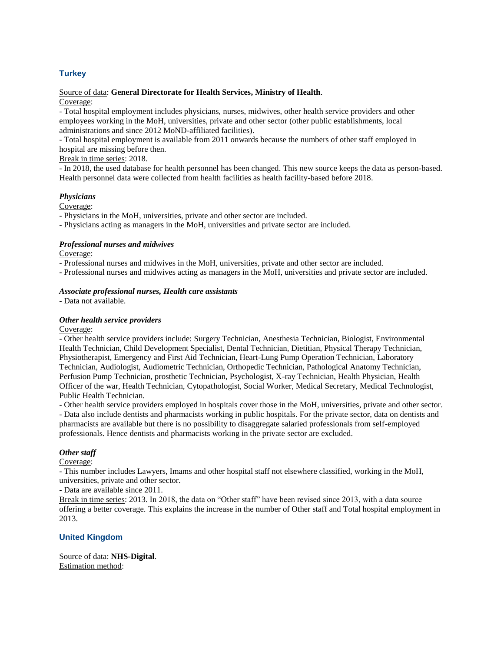# **Turkey**

## Source of data: **General Directorate for Health Services, Ministry of Health**.

Coverage:

- Total hospital employment includes physicians, nurses, midwives, other health service providers and other employees working in the MoH, universities, private and other sector (other public establishments, local administrations and since 2012 MoND-affiliated facilities).

- Total hospital employment is available from 2011 onwards because the numbers of other staff employed in hospital are missing before then.

## Break in time series: 2018.

- In 2018, the used database for health personnel has been changed. This new source keeps the data as person-based. Health personnel data were collected from health facilities as health facility-based before 2018.

## *Physicians*

Coverage:

- Physicians in the MoH, universities, private and other sector are included.
- Physicians acting as managers in the MoH, universities and private sector are included.

## *Professional nurses and midwives*

Coverage:

- Professional nurses and midwives in the MoH, universities, private and other sector are included.

- Professional nurses and midwives acting as managers in the MoH, universities and private sector are included.

## *Associate professional nurses, Health care assistants*

- Data not available.

## *Other health service providers*

Coverage:

- Other health service providers include: Surgery Technician, Anesthesia Technician, Biologist, Environmental Health Technician, Child Development Specialist, Dental Technician, Dietitian, Physical Therapy Technician, Physiotherapist, Emergency and First Aid Technician, Heart-Lung Pump Operation Technician, Laboratory Technician, Audiologist, Audiometric Technician, Orthopedic Technician, Pathological Anatomy Technician, Perfusion Pump Technician, prosthetic Technician, Psychologist, X-ray Technician, Health Physician, Health Officer of the war, Health Technician, Cytopathologist, Social Worker, Medical Secretary, Medical Technologist, Public Health Technician.

- Other health service providers employed in hospitals cover those in the MoH, universities, private and other sector. - Data also include dentists and pharmacists working in public hospitals. For the private sector, data on dentists and

pharmacists are available but there is no possibility to disaggregate salaried professionals from self-employed professionals. Hence dentists and pharmacists working in the private sector are excluded.

## *Other staff*

Coverage:

- This number includes Lawyers, Imams and other hospital staff not elsewhere classified, working in the MoH, universities, private and other sector.

- Data are available since 2011.

Break in time series: 2013. In 2018, the data on "Other staff" have been revised since 2013, with a data source offering a better coverage. This explains the increase in the number of Other staff and Total hospital employment in 2013.

## **United Kingdom**

Source of data: **NHS-Digital**. Estimation method: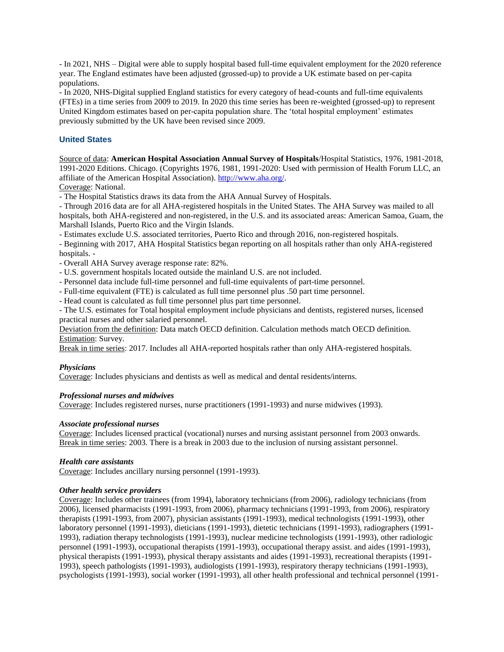- In 2021, NHS – Digital were able to supply hospital based full-time equivalent employment for the 2020 reference year. The England estimates have been adjusted (grossed-up) to provide a UK estimate based on per-capita populations.

- In 2020, NHS-Digital supplied England statistics for every category of head-counts and full-time equivalents (FTEs) in a time series from 2009 to 2019. In 2020 this time series has been re-weighted (grossed-up) to represent United Kingdom estimates based on per-capita population share. The 'total hospital employment' estimates previously submitted by the UK have been revised since 2009.

## **United States**

Source of data: **American Hospital Association Annual Survey of Hospitals**/Hospital Statistics, 1976, 1981-2018, 1991-2020 Editions. Chicago. (Copyrights 1976, 1981, 1991-2020: Used with permission of Health Forum LLC, an affiliate of the American Hospital Association). [http://www.aha.org/.](http://www.aha.org/)

Coverage: National.

- The Hospital Statistics draws its data from the AHA Annual Survey of Hospitals.

- Through 2016 data are for all AHA-registered hospitals in the United States. The AHA Survey was mailed to all hospitals, both AHA-registered and non-registered, in the U.S. and its associated areas: American Samoa, Guam, the Marshall Islands, Puerto Rico and the Virgin Islands.

- Estimates exclude U.S. associated territories, Puerto Rico and through 2016, non-registered hospitals.

- Beginning with 2017, AHA Hospital Statistics began reporting on all hospitals rather than only AHA-registered hospitals. -

- Overall AHA Survey average response rate: 82%.

- U.S. government hospitals located outside the mainland U.S. are not included.

- Personnel data include full-time personnel and full-time equivalents of part-time personnel.

- Full-time equivalent (FTE) is calculated as full time personnel plus .50 part time personnel.

- Head count is calculated as full time personnel plus part time personnel.

- The U.S. estimates for Total hospital employment include physicians and dentists, registered nurses, licensed practical nurses and other salaried personnel.

Deviation from the definition: Data match OECD definition. Calculation methods match OECD definition. Estimation: Survey.

Break in time series: 2017. Includes all AHA-reported hospitals rather than only AHA-registered hospitals.

## *Physicians*

Coverage: Includes physicians and dentists as well as medical and dental residents/interns.

#### *Professional nurses and midwives*

Coverage: Includes registered nurses, nurse practitioners (1991-1993) and nurse midwives (1993).

#### *Associate professional nurses*

Coverage: Includes licensed practical (vocational) nurses and nursing assistant personnel from 2003 onwards. Break in time series: 2003. There is a break in 2003 due to the inclusion of nursing assistant personnel.

## *Health care assistants*

Coverage: Includes ancillary nursing personnel (1991-1993).

## *Other health service providers*

Coverage: Includes other trainees (from 1994), laboratory technicians (from 2006), radiology technicians (from 2006), licensed pharmacists (1991-1993, from 2006), pharmacy technicians (1991-1993, from 2006), respiratory therapists (1991-1993, from 2007), physician assistants (1991-1993), medical technologists (1991-1993), other laboratory personnel (1991-1993), dieticians (1991-1993), dietetic technicians (1991-1993), radiographers (1991- 1993), radiation therapy technologists (1991-1993), nuclear medicine technologists (1991-1993), other radiologic personnel (1991-1993), occupational therapists (1991-1993), occupational therapy assist. and aides (1991-1993), physical therapists (1991-1993), physical therapy assistants and aides (1991-1993), recreational therapists (1991- 1993), speech pathologists (1991-1993), audiologists (1991-1993), respiratory therapy technicians (1991-1993), psychologists (1991-1993), social worker (1991-1993), all other health professional and technical personnel (1991